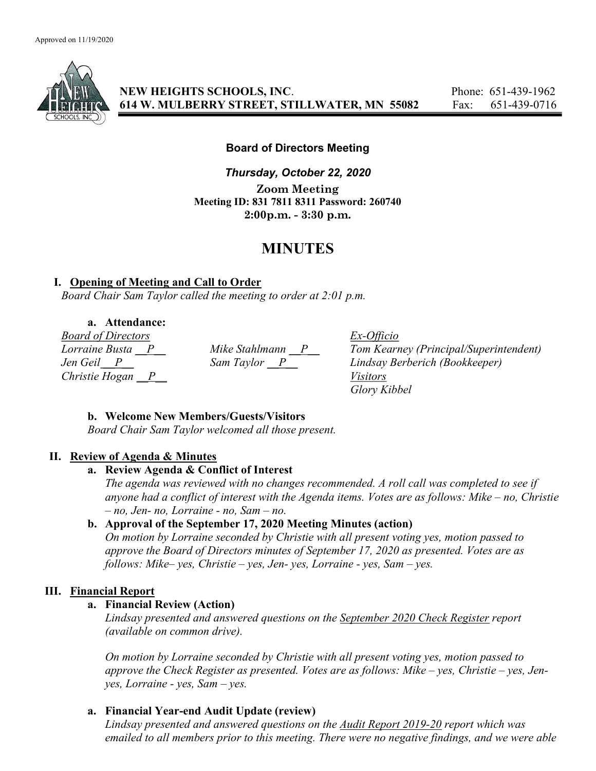

NEW HEIGHTS SCHOOLS, INC. Phone: 651-439-1962 614 W. MULBERRY STREET, STILLWATER, MN 55082 Fax: 651-439-0716

#### Board of Directors Meeting

Thursday, October 22, 2020 Zoom Meeting Meeting ID: 831 7811 8311 Password: 260740 2:00p.m. - 3:30 p.m.

## MINUTES

#### I. Opening of Meeting and Call to Order

Board Chair Sam Taylor called the meeting to order at 2:01 p.m.

### a. Attendance:

 $\frac{Board \ of \ Directors}{Lorraine \ Busta \t P}$  Mike Stahlmann  $\frac{P}{P}$  Tom Kearn<br>
Lee Geil P Christie Hogan  $\overline{P}$  Visitors

Lorraine Busta  $\underline{P}$  Mike Stahlmann  $\underline{P}$  Tom Kearney (Principal/Superintendent)<br>Jen Geil  $\underline{P}$  Sam Taylor  $\underline{P}$  Lindsay Berberich (Bookkeeper) Jen Geil P Sam Taylor P Lindsay Berberich (Bookkeeper) Glory Kibbel

## b. Welcome New Members/Guests/Visitors

Board Chair Sam Taylor welcomed all those present.

#### II. Review of Agenda & Minutes

#### a. Review Agenda & Conflict of Interest

The agenda was reviewed with no changes recommended. A roll call was completed to see if anyone had a conflict of interest with the Agenda items. Votes are as follows: Mike – no, Christie  $- no$ , Jen- no, Lorraine - no, Sam  $- no$ .

## b. Approval of the September 17, 2020 Meeting Minutes (action)

On motion by Lorraine seconded by Christie with all present voting yes, motion passed to approve the Board of Directors minutes of September 17, 2020 as presented. Votes are as follows: Mike– yes, Christie – yes, Jen- yes, Lorraine - yes, Sam – yes.

## III. Financial Report

## a. Financial Review (Action)

Lindsay presented and answered questions on the September 2020 Check Register report (available on common drive).

On motion by Lorraine seconded by Christie with all present voting yes, motion passed to approve the Check Register as presented. Votes are as follows: Mike – yes, Christie – yes, Jenyes, Lorraine - yes, Sam – yes.

## a. Financial Year-end Audit Update (review)

Lindsay presented and answered questions on the Audit Report 2019-20 report which was emailed to all members prior to this meeting. There were no negative findings, and we were able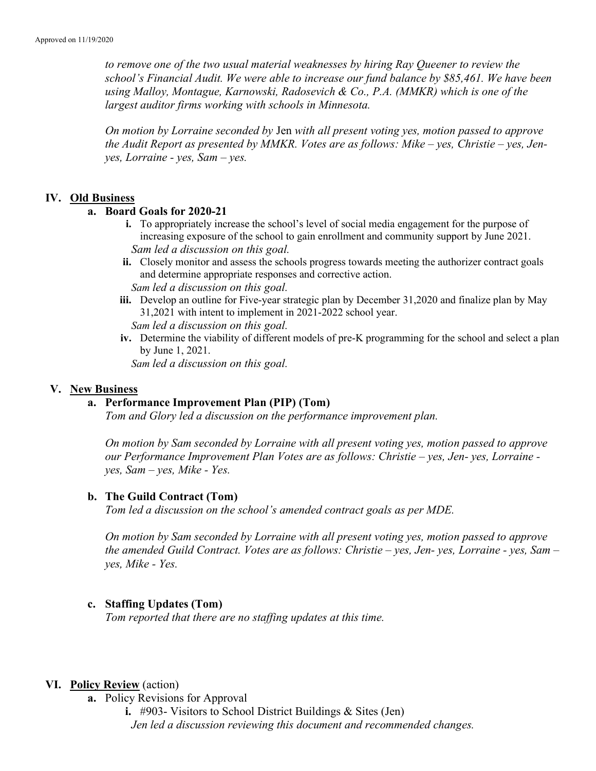to remove one of the two usual material weaknesses by hiring Ray Queener to review the school's Financial Audit. We were able to increase our fund balance by \$85,461. We have been using Malloy, Montague, Karnowski, Radosevich & Co., P.A. (MMKR) which is one of the largest auditor firms working with schools in Minnesota.

On motion by Lorraine seconded by Jen with all present voting yes, motion passed to approve the Audit Report as presented by MMKR. Votes are as follows: Mike – yes, Christie – yes, Jenyes, Lorraine - yes, Sam – yes.

#### IV. Old Business

#### a. Board Goals for 2020-21

- i. To appropriately increase the school's level of social media engagement for the purpose of increasing exposure of the school to gain enrollment and community support by June 2021. Sam led a discussion on this goal.
- ii. Closely monitor and assess the schools progress towards meeting the authorizer contract goals and determine appropriate responses and corrective action.

Sam led a discussion on this goal.

iii. Develop an outline for Five-year strategic plan by December 31,2020 and finalize plan by May 31,2021 with intent to implement in 2021-2022 school year.

Sam led a discussion on this goal.

iv. Determine the viability of different models of pre-K programming for the school and select a plan by June 1, 2021.

Sam led a discussion on this goal.

#### V. New Business

#### a. Performance Improvement Plan (PIP) (Tom)

Tom and Glory led a discussion on the performance improvement plan.

On motion by Sam seconded by Lorraine with all present voting yes, motion passed to approve our Performance Improvement Plan Votes are as follows: Christie – yes, Jen- yes, Lorraine yes, Sam – yes, Mike - Yes.

#### b. The Guild Contract (Tom)

Tom led a discussion on the school's amended contract goals as per MDE.

On motion by Sam seconded by Lorraine with all present voting yes, motion passed to approve the amended Guild Contract. Votes are as follows: Christie – yes, Jen- yes, Lorraine - yes, Sam – yes, Mike - Yes.

#### c. Staffing Updates (Tom)

Tom reported that there are no staffing updates at this time.

#### VI. Policy Review (action)

- a. Policy Revisions for Approval
	- i. #903- Visitors to School District Buildings & Sites (Jen) Jen led a discussion reviewing this document and recommended changes.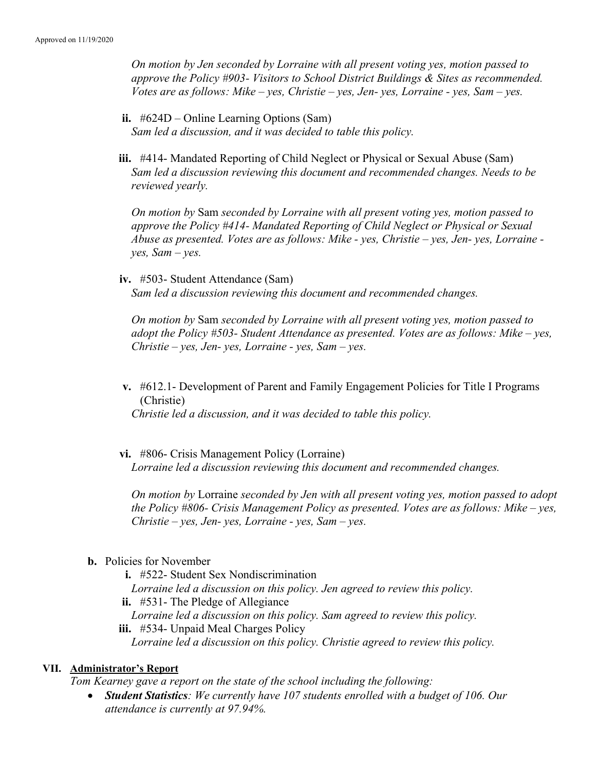On motion by Jen seconded by Lorraine with all present voting yes, motion passed to approve the Policy #903- Visitors to School District Buildings & Sites as recommended. Votes are as follows: Mike – yes, Christie – yes, Jen- yes, Lorraine - yes, Sam – yes.

- ii. #624D Online Learning Options (Sam) Sam led a discussion, and it was decided to table this policy.
- iii. #414- Mandated Reporting of Child Neglect or Physical or Sexual Abuse (Sam) Sam led a discussion reviewing this document and recommended changes. Needs to be reviewed yearly.

On motion by Sam seconded by Lorraine with all present voting yes, motion passed to approve the Policy #414- Mandated Reporting of Child Neglect or Physical or Sexual Abuse as presented. Votes are as follows: Mike - yes, Christie – yes, Jen- yes, Lorraine  $yes, Sam-ves.$ 

iv. #503- Student Attendance (Sam) Sam led a discussion reviewing this document and recommended changes.

On motion by Sam seconded by Lorraine with all present voting yes, motion passed to adopt the Policy  $#503$ - Student Attendance as presented. Votes are as follows: Mike – yes,  $Christie - yes, Jen- yes, Lorraine - yes, Sam - yes.$ 

v. #612.1- Development of Parent and Family Engagement Policies for Title I Programs (Christie)

Christie led a discussion, and it was decided to table this policy.

vi. #806- Crisis Management Policy (Lorraine) Lorraine led a discussion reviewing this document and recommended changes.

On motion by Lorraine seconded by Jen with all present voting yes, motion passed to adopt the Policy #806- Crisis Management Policy as presented. Votes are as follows: Mike – yes,  $Christie - yes, Jen- yes, Lorraine - yes, Sam- yes.$ 

#### b. Policies for November

- i. #522- Student Sex Nondiscrimination Lorraine led a discussion on this policy. Jen agreed to review this policy. ii. #531- The Pledge of Allegiance Lorraine led a discussion on this policy. Sam agreed to review this policy.
- iii. #534- Unpaid Meal Charges Policy Lorraine led a discussion on this policy. Christie agreed to review this policy.

# VII. Administrator's Report

Tom Kearney gave a report on the state of the school including the following:

• Student Statistics: We currently have 107 students enrolled with a budget of 106. Our attendance is currently at 97.94%.